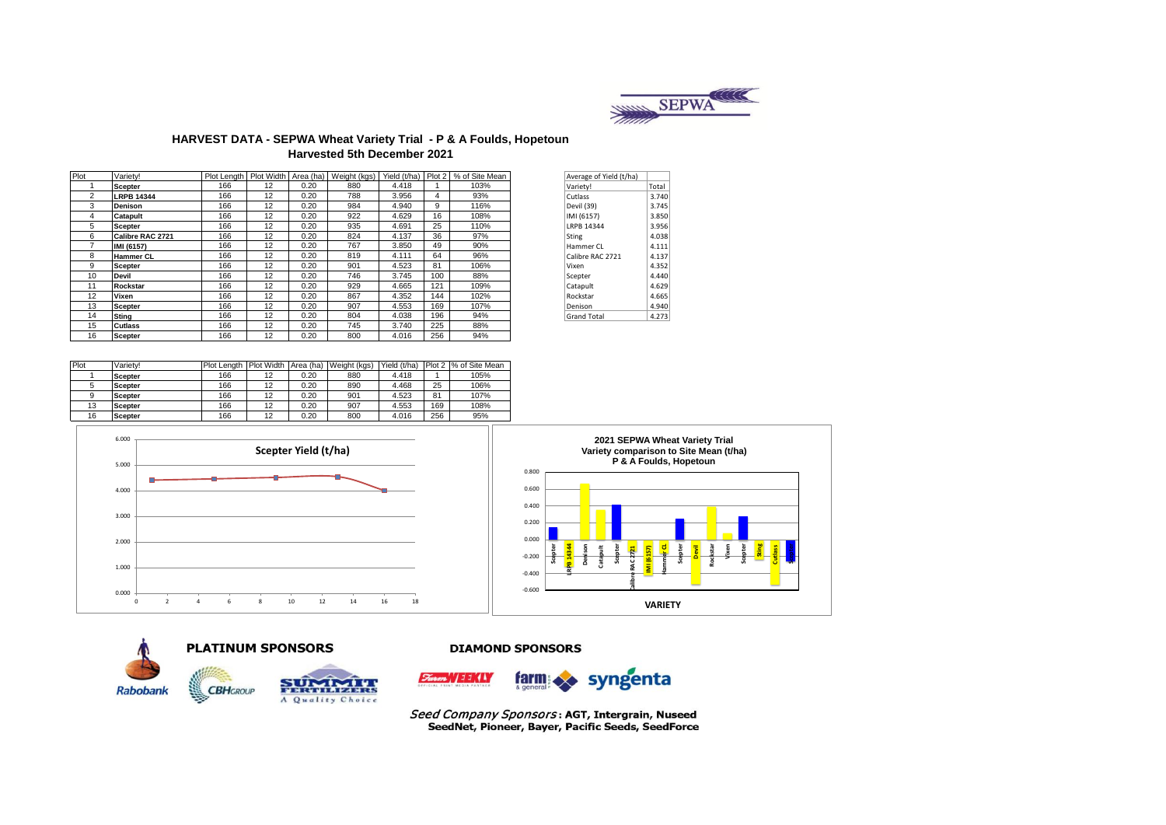

### **HARVEST DATA - SEPWA Wheat Variety Trial - P & A Foulds, Hopetoun Harvested 5th December 2021**

| Plot           | Varietv!          |     |    |      |     |       |     | Plot Length   Plot Width   Area (ha)   Weight (kgs)   Yield (t/ha)   Plot 2   % of Site Mean | Average of Yield (t/ha) |       |
|----------------|-------------------|-----|----|------|-----|-------|-----|----------------------------------------------------------------------------------------------|-------------------------|-------|
|                | <b>Scepter</b>    | 166 | 12 | 0.20 | 880 | 4.418 |     | 103%                                                                                         | Variety!                | Total |
| $\overline{2}$ | <b>LRPB 14344</b> | 166 | 12 | 0.20 | 788 | 3.956 | 4   | 93%                                                                                          | Cutlass                 | 3.740 |
| 3              | <b>Denison</b>    | 166 | 12 | 0.20 | 984 | 4.940 | 9   | 116%                                                                                         | Devil (39)              | 3.745 |
| 4              | Catapult          | 166 | 12 | 0.20 | 922 | 4.629 | 16  | 108%                                                                                         | IMI (6157)              | 3.850 |
| 5              | <b>Scepter</b>    | 166 | 12 | 0.20 | 935 | 4.691 | 25  | 110%                                                                                         | LRPB 14344              | 3.956 |
| 6              | Calibre RAC 2721  | 166 | 12 | 0.20 | 824 | 4.137 | 36  | 97%                                                                                          | Sting                   | 4.038 |
|                | IMI (6157)        | 166 | 12 | 0.20 | 767 | 3.850 | 49  | 90%                                                                                          | Hammer CL               | 4.111 |
| 8              | <b>Hammer CL</b>  | 166 | 12 | 0.20 | 819 | 4.111 | 64  | 96%                                                                                          | Calibre RAC 2721        | 4.137 |
| 9              | <b>Scepter</b>    | 166 | 12 | 0.20 | 901 | 4.523 | 81  | 106%                                                                                         | Vixen                   | 4.352 |
| 10             | <b>Devil</b>      | 166 | 12 | 0.20 | 746 | 3.745 | 100 | 88%                                                                                          | Scepter                 | 4.440 |
| 11             | Rockstar          | 166 | 12 | 0.20 | 929 | 4.665 | 121 | 109%                                                                                         | Catapult                | 4.629 |
| 12             | Vixen             | 166 | 12 | 0.20 | 867 | 4.352 | 144 | 102%                                                                                         | Rockstar                | 4.665 |
| 13             | <b>Scepter</b>    | 166 | 12 | 0.20 | 907 | 4.553 | 169 | 107%                                                                                         | Denison                 | 4.940 |
| 14             | Stina             | 166 | 12 | 0.20 | 804 | 4.038 | 196 | 94%                                                                                          | <b>Grand Total</b>      | 4.273 |
| 15             | <b>Cutlass</b>    | 166 | 12 | 0.20 | 745 | 3.740 | 225 | 88%                                                                                          |                         |       |
| 16             | <b>Scepter</b>    | 166 | 12 | 0.20 | 800 | 4.016 | 256 | 94%                                                                                          |                         |       |
|                |                   |     |    |      |     |       |     |                                                                                              |                         |       |

| Average of Yield (t/ha) |       |
|-------------------------|-------|
| Variety!                | Total |
| Cutlass                 | 3.740 |
| Devil (39)              | 3.745 |
| IMI (6157)              | 3.850 |
| LRPB 14344              | 3.956 |
| Sting                   | 4.038 |
| Hammer CL               | 4.111 |
| Calibre RAC 2721        | 4.137 |
| Vixen                   | 4.352 |
| Scepter                 | 4.440 |
| Catapult                | 4.629 |
| Rockstar                | 4.665 |
| Denison                 | 4.940 |
| <b>Grand Total</b>      | 4.273 |
|                         |       |

| Plot | Variety!       |     |    |      | Plot Length Plot Width Area (ha) Weight (kgs) | Yield (t/ha) |     | Plot 2 % of Site Mean |
|------|----------------|-----|----|------|-----------------------------------------------|--------------|-----|-----------------------|
|      | <b>Scepter</b> | 166 | 12 | 0.20 | 880                                           | 4.418        |     | 105%                  |
|      | <b>Scepter</b> | 166 | 12 | 0.20 | 890                                           | 4.468        | 25  | 106%                  |
|      | <b>Scepter</b> | 166 | 12 | 0.20 | 901                                           | 4.523        | 81  | 107%                  |
| 13   | <b>Scepter</b> | 166 | 12 | 0.20 | 907                                           | 4.553        | 169 | 108%                  |
| 16   | <b>Scepter</b> | 166 | 12 | 0.20 | 800                                           | 4.016        | 256 | 95%                   |









A Quality Choice

### **DIAMOND SPONSORS**



Seed Company Sponsors: AGT, Intergrain, Nuseed SeedNet, Pioneer, Bayer, Pacific Seeds, SeedForce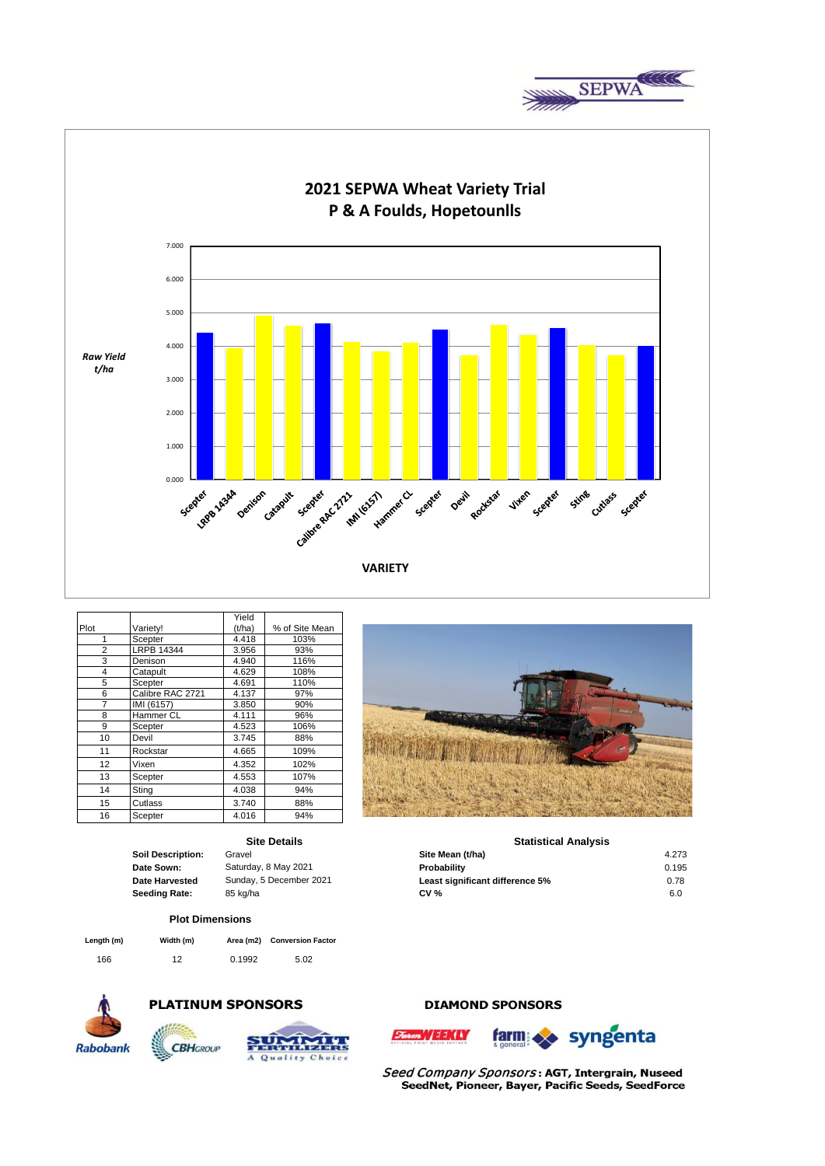



|                |                   | Yield  |                |
|----------------|-------------------|--------|----------------|
| Plot           | Variety!          | (t/ha) | % of Site Mean |
| 1              | Scepter           | 4.418  | 103%           |
| $\overline{2}$ | <b>LRPB 14344</b> | 3.956  | 93%            |
| 3              | Denison           | 4.940  | 116%           |
| 4              | Catapult          | 4.629  | 108%           |
| 5              | Scepter           | 4.691  | 110%           |
| 6              | Calibre RAC 2721  | 4.137  | 97%            |
| 7              | IMI (6157)        | 3.850  | 90%            |
| 8              | Hammer CL         | 4.111  | 96%            |
| 9              | Scepter           | 4.523  | 106%           |
| 10             | Devil             | 3.745  | 88%            |
| 11             | Rockstar          | 4.665  | 109%           |
| 12             | Vixen             | 4.352  | 102%           |
| 13             | Scepter           | 4.553  | 107%           |
| 14             | Sting             | 4.038  | 94%            |
| 15             | Cutlass           | 3.740  | 88%            |
| 16             | Scepter           | 4.016  | 94%            |

## **Site Details**

### **Plot Dimensions**

| Length (m) | Width (m) | Area (m2) | <b>Conversion Factor</b> |
|------------|-----------|-----------|--------------------------|
| 166        | 12        | 0.1992    | 5.02                     |



# **PLATINUM SPONSORS**





# **DIAMOND SPONSORS**





Seed Company Sponsors: AGT, Intergrain, Nuseed SeedNet, Pioneer, Bayer, Pacific Seeds, SeedForce



|                       | <b>Site Details</b>     | <b>Statistical Analysis</b>     |       |  |  |
|-----------------------|-------------------------|---------------------------------|-------|--|--|
| Soil Description:     | Gravel                  | Site Mean (t/ha)                | 4.273 |  |  |
| Date Sown:            | Saturday, 8 May 2021    | Probability                     | 0.195 |  |  |
| <b>Date Harvested</b> | Sunday, 5 December 2021 | Least significant difference 5% | 0.78  |  |  |
| Seeding Rate:         | 85 ka/ha                | <b>CV %</b>                     | 6.0   |  |  |